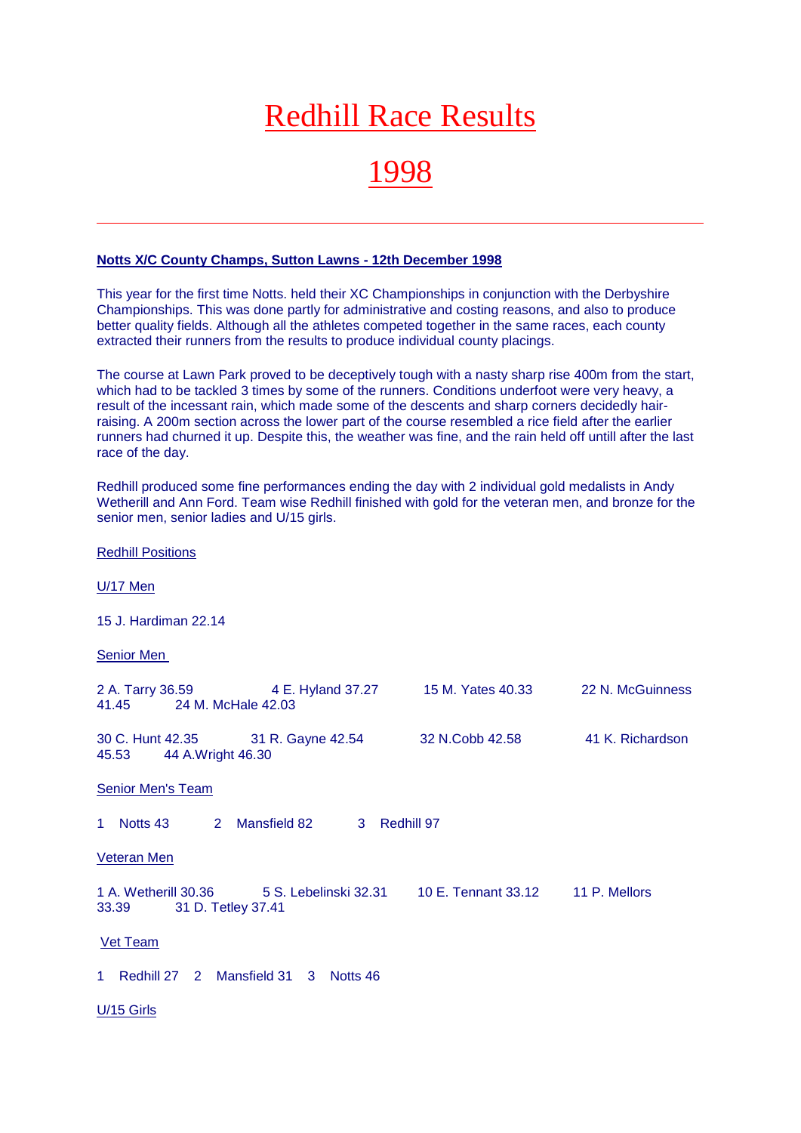# Redhill Race Results

## 1998

#### **Notts X/C County Champs, Sutton Lawns - 12th December 1998**

This year for the first time Notts. held their XC Championships in conjunction with the Derbyshire Championships. This was done partly for administrative and costing reasons, and also to produce better quality fields. Although all the athletes competed together in the same races, each county extracted their runners from the results to produce individual county placings.

The course at Lawn Park proved to be deceptively tough with a nasty sharp rise 400m from the start, which had to be tackled 3 times by some of the runners. Conditions underfoot were very heavy, a result of the incessant rain, which made some of the descents and sharp corners decidedly hairraising. A 200m section across the lower part of the course resembled a rice field after the earlier runners had churned it up. Despite this, the weather was fine, and the rain held off untill after the last race of the day.

Redhill produced some fine performances ending the day with 2 individual gold medalists in Andy Wetherill and Ann Ford. Team wise Redhill finished with gold for the veteran men, and bronze for the senior men, senior ladies and U/15 girls.

Redhill Positions U/17 Men 15 J. Hardiman 22.14 Senior Men 2 A. Tarry 36.59 4 E. Hyland 37.27 15 M. Yates 40.33 22 N. McGuinness 41.45 24 M. McHale 42.03 30 C. Hunt 42.35 31 R. Gayne 42.54 32 N.Cobb 42.58 41 K. Richardson 45.53 44 A.Wright 46.30 Senior Men's Team 1 Notts 43 2 Mansfield 82 3 Redhill 97 Veteran Men 1 A. Wetherill 30.36 5 S. Lebelinski 32.31 10 E. Tennant 33.12 11 P. Mellors 33.39 31 D. Tetley 37.41 Vet Team 1 Redhill 27 2 Mansfield 31 3 Notts 46 U/15 Girls